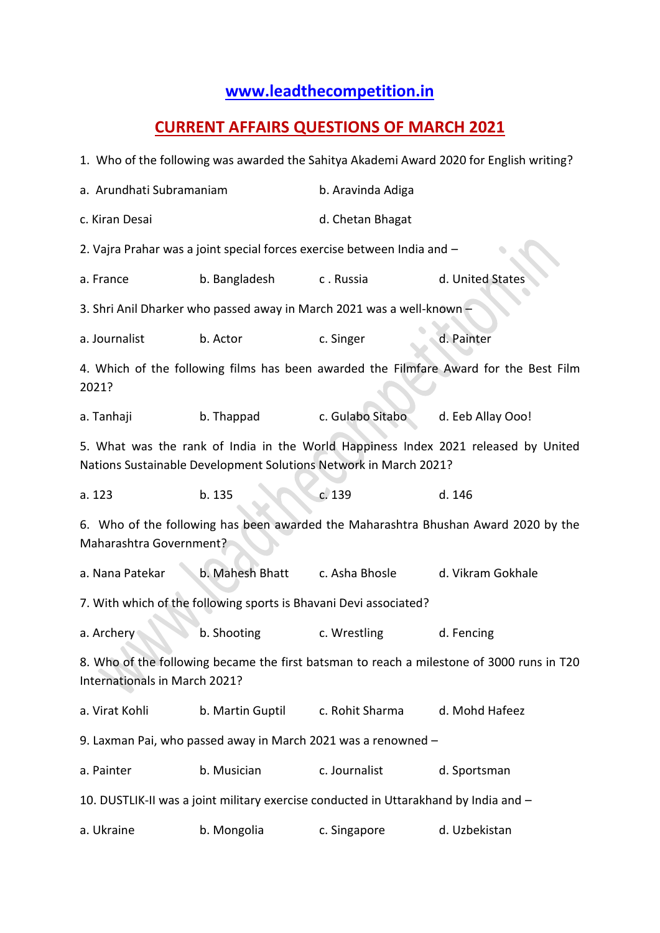## **[www.leadthecompetition.in](http://www.leadthecompetition.in/)**

## **CURRENT AFFAIRS QUESTIONS OF MARCH 2021**

|                                                                                                                                                        |                  |                   | 1. Who of the following was awarded the Sahitya Akademi Award 2020 for English writing? |  |  |  |  |  |  |  |  |
|--------------------------------------------------------------------------------------------------------------------------------------------------------|------------------|-------------------|-----------------------------------------------------------------------------------------|--|--|--|--|--|--|--|--|
| a. Arundhati Subramaniam                                                                                                                               |                  | b. Aravinda Adiga |                                                                                         |  |  |  |  |  |  |  |  |
| c. Kiran Desai                                                                                                                                         |                  | d. Chetan Bhagat  |                                                                                         |  |  |  |  |  |  |  |  |
| 2. Vajra Prahar was a joint special forces exercise between India and -                                                                                |                  |                   |                                                                                         |  |  |  |  |  |  |  |  |
| a. France                                                                                                                                              | b. Bangladesh    | c. Russia         | d. United States                                                                        |  |  |  |  |  |  |  |  |
| 3. Shri Anil Dharker who passed away in March 2021 was a well-known -                                                                                  |                  |                   |                                                                                         |  |  |  |  |  |  |  |  |
| a. Journalist                                                                                                                                          | b. Actor         | c. Singer         | d. Painter                                                                              |  |  |  |  |  |  |  |  |
| 4. Which of the following films has been awarded the Filmfare Award for the Best Film<br>2021?                                                         |                  |                   |                                                                                         |  |  |  |  |  |  |  |  |
| a. Tanhaji                                                                                                                                             | b. Thappad       | c. Gulabo Sitabo  | d. Eeb Allay Ooo!                                                                       |  |  |  |  |  |  |  |  |
| 5. What was the rank of India in the World Happiness Index 2021 released by United<br>Nations Sustainable Development Solutions Network in March 2021? |                  |                   |                                                                                         |  |  |  |  |  |  |  |  |
| a. 123                                                                                                                                                 | b. 135           | c. 139            | d. 146                                                                                  |  |  |  |  |  |  |  |  |
| 6. Who of the following has been awarded the Maharashtra Bhushan Award 2020 by the<br>Maharashtra Government?                                          |                  |                   |                                                                                         |  |  |  |  |  |  |  |  |
| a. Nana Patekar                                                                                                                                        | b. Mahesh Bhatt  | c. Asha Bhosle    | d. Vikram Gokhale                                                                       |  |  |  |  |  |  |  |  |
| 7. With which of the following sports is Bhavani Devi associated?                                                                                      |                  |                   |                                                                                         |  |  |  |  |  |  |  |  |
| a. Archery                                                                                                                                             | b. Shooting      | c. Wrestling      | d. Fencing                                                                              |  |  |  |  |  |  |  |  |
| 8. Who of the following became the first batsman to reach a milestone of 3000 runs in T20<br>Internationals in March 2021?                             |                  |                   |                                                                                         |  |  |  |  |  |  |  |  |
| a. Virat Kohli                                                                                                                                         | b. Martin Guptil | c. Rohit Sharma   | d. Mohd Hafeez                                                                          |  |  |  |  |  |  |  |  |
| 9. Laxman Pai, who passed away in March 2021 was a renowned -                                                                                          |                  |                   |                                                                                         |  |  |  |  |  |  |  |  |
| a. Painter                                                                                                                                             | b. Musician      | c. Journalist     | d. Sportsman                                                                            |  |  |  |  |  |  |  |  |
| 10. DUSTLIK-II was a joint military exercise conducted in Uttarakhand by India and -                                                                   |                  |                   |                                                                                         |  |  |  |  |  |  |  |  |
| a. Ukraine                                                                                                                                             | b. Mongolia      | c. Singapore      | d. Uzbekistan                                                                           |  |  |  |  |  |  |  |  |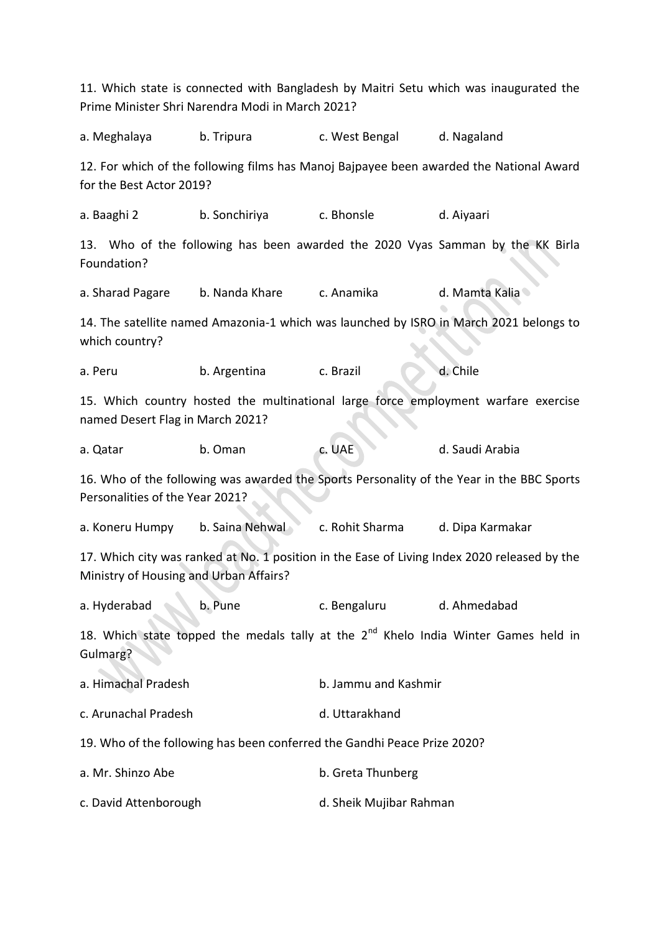11. Which state is connected with Bangladesh by Maitri Setu which was inaugurated the Prime Minister Shri Narendra Modi in March 2021? a. Meghalaya b. Tripura c. West Bengal d. Nagaland 12. For which of the following films has Manoj Bajpayee been awarded the National Award for the Best Actor 2019? a. Baaghi 2 b. Sonchiriya c. Bhonsle d. Aiyaari 13. Who of the following has been awarded the 2020 Vyas Samman by the KK Birla Foundation? a. Sharad Pagare b. Nanda Khare c. Anamika d. Mamta Kalia 14. The satellite named Amazonia-1 which was launched by ISRO in March 2021 belongs to which country? a. Peru b. Argentina c. Brazil d. Chile 15. Which country hosted the multinational large force employment warfare exercise named Desert Flag in March 2021? a. Qatar b. Oman c. UAE d. Saudi Arabia 16. Who of the following was awarded the Sports Personality of the Year in the BBC Sports Personalities of the Year 2021? a. Koneru Humpy b. Saina Nehwal c. Rohit Sharma d. Dipa Karmakar 17. Which city was ranked at No. 1 position in the Ease of Living Index 2020 released by the Ministry of Housing and Urban Affairs? a. Hyderabad b. Pune c. Bengaluru d. Ahmedabad 18. Which state topped the medals tally at the  $2^{nd}$  Khelo India Winter Games held in Gulmarg? a. Himachal Pradesh b. Jammu and Kashmir c. Arunachal Pradesh d. Uttarakhand 19. Who of the following has been conferred the Gandhi Peace Prize 2020? a. Mr. Shinzo Abe b. Greta Thunberg c. David Attenborough d. Sheik Mujibar Rahman